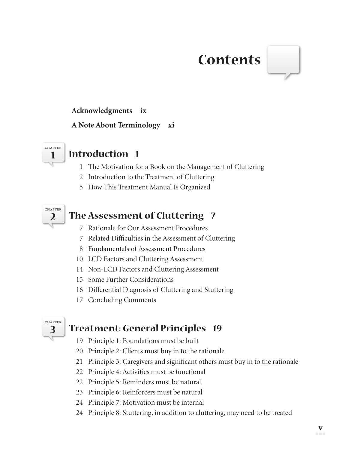# **Contents**

### **Acknowledgments ix**

#### **A Note About Terminology xi**



## **1 Introduction 1**

- 1 The Motivation for a Book on the Management of Cluttering
- 2 Introduction to the Treatment of Cluttering
- 5 How This Treatment Manual Is Organized



## **The Assessment of Cluttering 7**

- 7 Rationale for Our Assessment Procedures
- 7 Related Difficulties in the Assessment of Cluttering
- 8 Fundamentals of Assessment Procedures
- 10 LCD Factors and Cluttering Assessment
- 14 Non-LCD Factors and Cluttering Assessment
- 15 Some Further Considerations
- 16 Differential Diagnosis of Cluttering and Stuttering
- 17 Concluding Comments



## **Treatment: General Principles 19**

- 19 Principle 1: Foundations must be built
- 20 Principle 2: Clients must buy in to the rationale
- 21 Principle 3: Caregivers and significant others must buy in to the rationale
- 22 Principle 4: Activities must be functional
- 22 Principle 5: Reminders must be natural
- 23 Principle 6: Reinforcers must be natural
- 24 Principle 7: Motivation must be internal
- 24 Principle 8: Stuttering, in addition to cluttering, may need to be treated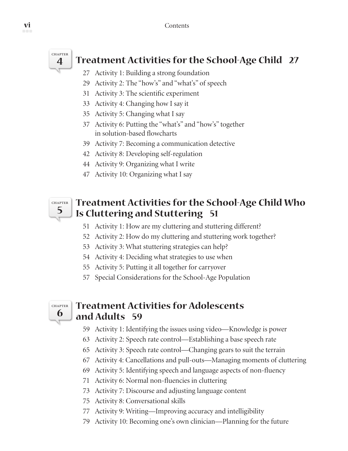

# **Treatment Activities for the School-Age Child 27**

- 27 Activity 1: Building a strong foundation
- 29 Activity 2: The "how's" and "what's" of speech
- 31 Activity 3: The scientific experiment
- 33 Activity 4: Changing how I say it
- 35 Activity 5: Changing what I say
- 37 Activity 6: Putting the "what's" and "how's" together in solution-based flowcharts
- 39 Activity 7: Becoming a communication detective
- 42 Activity 8: Developing self-regulation
- 44 Activity 9: Organizing what I write
- 47 Activity 10: Organizing what I say



## **Treatment Activities for the School-Age Child Who Is Cluttering and Stuttering 51**

- 51 Activity 1: How are my cluttering and stuttering different?
- 52 Activity 2: How do my cluttering and stuttering work together?
- 53 Activity 3: What stuttering strategies can help?
- 54 Activity 4: Deciding what strategies to use when
- 55 Activity 5: Putting it all together for carryover
- 57 Special Considerations for the School-Age Population



## **Treatment Activities for Adolescents and Adults 59**

- 59 Activity 1: Identifying the issues using video—Knowledge is power
- 63 Activity 2: Speech rate control—Establishing a base speech rate
- 65 Activity 3: Speech rate control—Changing gears to suit the terrain
- 67 Activity 4: Cancellations and pull-outs—Managing moments of cluttering
- 69 Activity 5: Identifying speech and language aspects of non-fluency
- 71 Activity 6: Normal non-fluencies in cluttering
- 73 Activity 7: Discourse and adjusting language content
- 75 Activity 8: Conversational skills
- 77 Activity 9: Writing—Improving accuracy and intelligibility
- 79 Activity 10: Becoming one's own clinician—Planning for the future